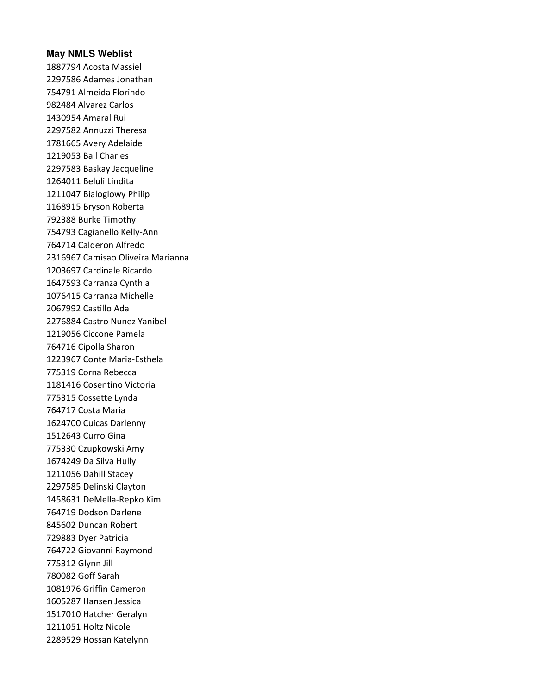## **May NMLS Weblist**

1887794 Acosta Massiel 2297586 Adames Jonathan 754791 Almeida Florindo 982484 Alvarez Carlos 1430954 Amaral Rui 2297582 Annuzzi Theresa 1781665 Avery Adelaide 1219053 Ball Charles 2297583 Baskay Jacqueline 1264011 Beluli Lindita 1211047 Bialoglowy Philip 1168915 Bryson Roberta 792388 Burke Timothy 754793 Cagianello Kelly-Ann 764714 Calderon Alfredo 2316967 Camisao Oliveira Marianna 1203697 Cardinale Ricardo 1647593 Carranza Cynthia 1076415 Carranza Michelle 2067992 Castillo Ada 2276884 Castro Nunez Yanibel 1219056 Ciccone Pamela 764716 Cipolla Sharon 1223967 Conte Maria-Esthela 775319 Corna Rebecca 1181416 Cosentino Victoria 775315 Cossette Lynda 764717 Costa Maria 1624700 Cuicas Darlenny 1512643 Curro Gina 775330 Czupkowski Amy 1674249 Da Silva Hully 1211056 Dahill Stacey 2297585 Delinski Clayton 1458631 DeMella-Repko Kim 764719 Dodson Darlene 845602 Duncan Robert 729883 Dyer Patricia 764722 Giovanni Raymond 775312 Glynn Jill 780082 Goff Sarah 1081976 Griffin Cameron 1605287 Hansen Jessica 1517010 Hatcher Geralyn 1211051 Holtz Nicole 2289529 Hossan Katelynn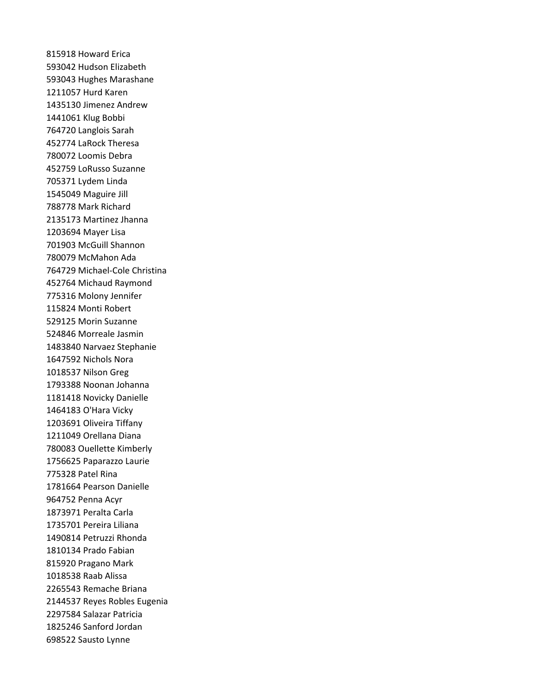815918 Howard Erica 593042 Hudson Elizabeth 593043 Hughes Marashane 1211057 Hurd Karen 1435130 Jimenez Andrew 1441061 Klug Bobbi 764720 Langlois Sarah 452774 LaRock Theresa 780072 Loomis Debra 452759 LoRusso Suzanne 705371 Lydem Linda 1545049 Maguire Jill 788778 Mark Richard 2135173 Martinez Jhanna 1203694 Mayer Lisa 701903 McGuill Shannon 780079 McMahon Ada 764729 Michael-Cole Christina 452764 Michaud Raymond 775316 Molony Jennifer 115824 Monti Robert 529125 Morin Suzanne 524846 Morreale Jasmin 1483840 Narvaez Stephanie 1647592 Nichols Nora 1018537 Nilson Greg 1793388 Noonan Johanna 1181418 Novicky Danielle 1464183 O'Hara Vicky 1203691 Oliveira Tiffany 1211049 Orellana Diana 780083 Ouellette Kimberly 1756625 Paparazzo Laurie 775328 Patel Rina 1781664 Pearson Danielle 964752 Penna Acyr 1873971 Peralta Carla 1735701 Pereira Liliana 1490814 Petruzzi Rhonda 1810134 Prado Fabian 815920 Pragano Mark 1018538 Raab Alissa 2265543 Remache Briana 2144537 Reyes Robles Eugenia 2297584 Salazar Patricia 1825246 Sanford Jordan 698522 Sausto Lynne